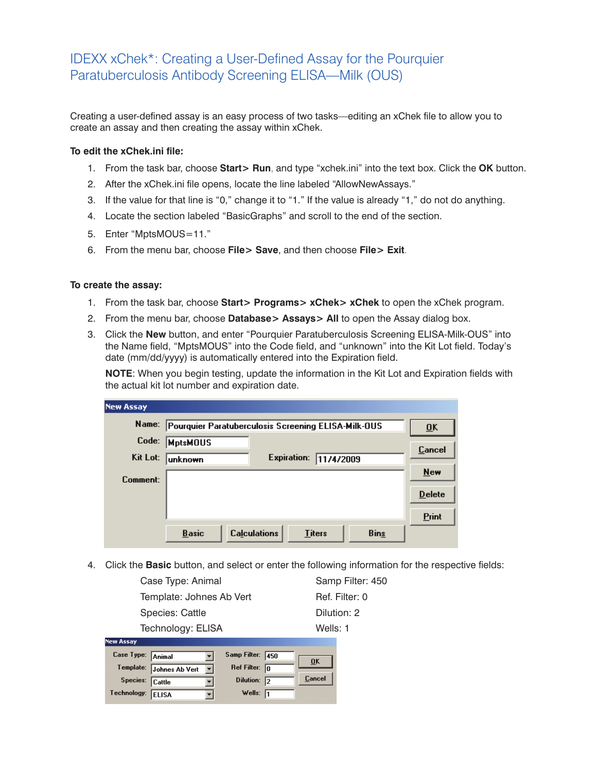## IDEXX xChek\*: Creating a User-Defined Assay for the Pourquier Paratuberculosis Antibody Screening ELISA—Milk (OUS)

Creating a user-defined assay is an easy process of two tasks—editing an xChek file to allow you to create an assay and then creating the assay within xChek.

## **To edit the xChek.ini file:**

- 1. From the task bar, choose **Start> Run**, and type "xchek.ini" into the text box. Click the **OK** button.
- 2. After the xChek.ini file opens, locate the line labeled "AllowNewAssays."
- 3. If the value for that line is "0," change it to "1." If the value is already "1," do not do anything.
- 4. Locate the section labeled "BasicGraphs" and scroll to the end of the section.
- 5. Enter "MptsMOUS=11."
- 6. From the menu bar, choose **File> Save**, and then choose **File> Exit**.

## **To create the assay:**

- 1. From the task bar, choose **Start> Programs> xChek> xChek** to open the xChek program.
- 2. From the menu bar, choose **Database> Assays> All** to open the Assay dialog box.
- 3. Click the **New** button, and enter "Pourquier Paratuberculosis Screening ELISA-Milk-OUS" into the Name field, "MptsMOUS" into the Code field, and "unknown" into the Kit Lot field. Today's date (mm/dd/yyyy) is automatically entered into the Expiration field.

**NOTE:** When you begin testing, update the information in the Kit Lot and Expiration fields with the actual kit lot number and expiration date.

| <b>New Assay</b> |                                                                     |                           |
|------------------|---------------------------------------------------------------------|---------------------------|
| Name:            | Pourquier Paratuberculosis Screening ELISA-Milk-OUS                 | $\overline{\mathbf{0}}$ K |
| Code:            | <b>MptsMOUS</b>                                                     | <b>Cancel</b>             |
| Kit Lot:         | <b>Expiration:</b><br>11/4/2009<br> unknown                         |                           |
| Comment:         |                                                                     | New                       |
|                  |                                                                     | <b>Delete</b>             |
|                  |                                                                     | <b>Print</b>              |
|                  | <b>Calculations</b><br><b>Basic</b><br><b>Bins</b><br><b>Titers</b> |                           |

4. Click the **Basic** button, and select or enter the following information for the respective fields:

| Case Type: Animal        | Samp Filter: 450 |
|--------------------------|------------------|
| Template: Johnes Ab Vert | Ref. Filter: 0   |
| Species: Cattle          | Dilution: 2      |
| Technology: ELISA        | Wells: 1         |
| <b>New Assay</b>         |                  |

| Case Type: Animal |                                          | Samp Filter: 450       |               |
|-------------------|------------------------------------------|------------------------|---------------|
|                   |                                          |                        | 0K            |
|                   | Template: Johnes Ab Vert<br>$\mathbf{v}$ | Ref Filter: $\sqrt{n}$ |               |
|                   |                                          |                        | <b>Cancel</b> |
| Species: Cattle   |                                          | Dilution: 2            |               |
| Technology: ELISA |                                          | Wells: $\sqrt{1}$      |               |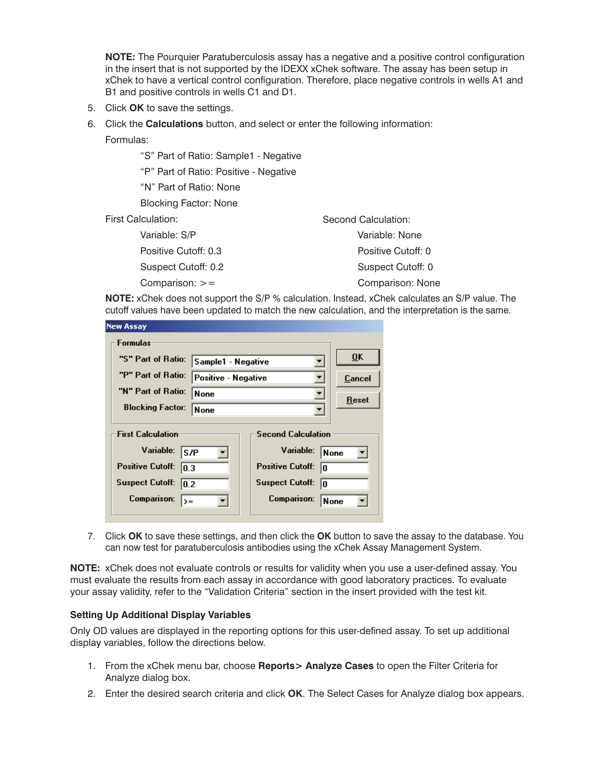**NOTE:** The Pourquier Paratuberculosis assay has a negative and a positive control configuration in the insert that is not supported by the IDEXX xChek software. The assay has been setup in xChek to have a vertical control configuration. Therefore, place negative controls in wells A1 and B1 and positive controls in wells C1 and D1.

- 5. Click **OK** to save the settings.
- 6. Click the **Calculations** button, and select or enter the following information:
	- Formulas:

"S" Part of Ratio: Sample1 - Negative

"P" Part of Ratio: Positive - Negative

"N" Part of Ratio: None

Blocking Factor: None

First Calculation:

| Variable: None     |
|--------------------|
| Positive Cutoff: 0 |
| Suspect Cutoff: 0  |
| Comparison: None   |
|                    |

**NOTE:** xChek does not support the S/P % calculation. Instead, xChek calculates an S/P value. The cutoff values have been updated to match the new calculation, and the interpretation is the same.

Second Calculation:

| New Assay                                             |                     |                               |                           |
|-------------------------------------------------------|---------------------|-------------------------------|---------------------------|
| <b>Formulas</b>                                       |                     |                               |                           |
| "S" Part of Ratio:                                    | Sample1 - Negative  |                               | $\overline{\mathbf{0}}$ K |
| "P" Part of Ratio:                                    | Positive - Negative |                               | Cancel                    |
| "N" Part of Ratio:                                    | <b>None</b>         |                               | Reset                     |
| <b>Blocking Factor:</b>                               | None                |                               |                           |
| <b>Second Calculation</b><br><b>First Calculation</b> |                     |                               |                           |
| Variable:<br>ls /P                                    |                     | Variable:                     | None                      |
| <b>Positive Cutoff:</b><br>10.3                       |                     | <b>Positive Cutoff:</b><br>10 |                           |
| <b>Suspect Cutoff:</b><br>10.2                        |                     | <b>Suspect Cutoff:</b><br>I۵  |                           |
| Comparison:<br>$\rangle =$                            |                     | Comparison:                   | <b>None</b>               |
|                                                       |                     |                               |                           |

7. Click **OK** to save these settings, and then click the **OK** button to save the assay to the database. You can now test for paratuberculosis antibodies using the xChek Assay Management System.

**NOTE:** xChek does not evaluate controls or results for validity when you use a user-defined assay. You must evaluate the results from each assay in accordance with good laboratory practices. To evaluate your assay validity, refer to the "Validation Criteria" section in the insert provided with the test kit.

## **Setting Up Additional Display Variables**

Only OD values are displayed in the reporting options for this user-defined assay. To set up additional display variables, follow the directions below.

- 1. From the xChek menu bar, choose **Reports> Analyze Cases** to open the Filter Criteria for Analyze dialog box.
- 2. Enter the desired search criteria and click **OK**. The Select Cases for Analyze dialog box appears.